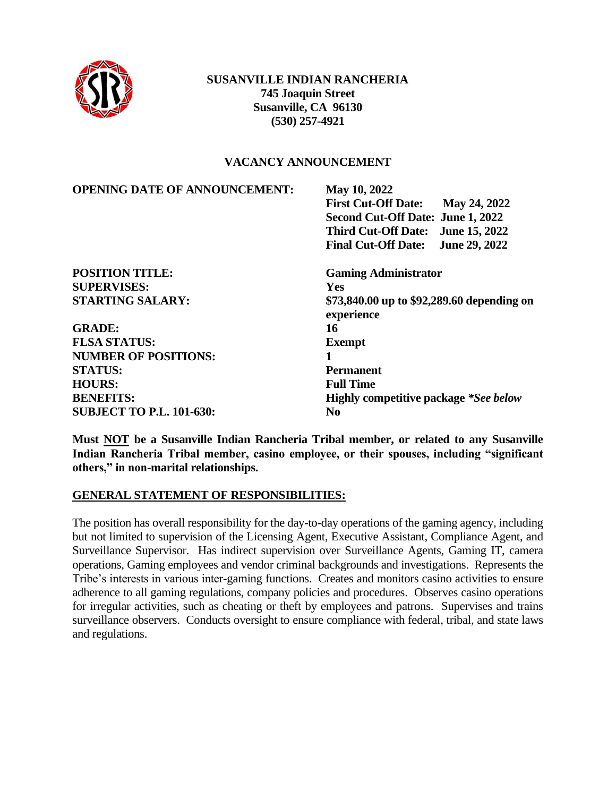

#### **SUSANVILLE INDIAN RANCHERIA 745 Joaquin Street Susanville, CA 96130 (530) 257-4921**

#### **VACANCY ANNOUNCEMENT**

| <b>OPENING DATE OF ANNOUNCEMENT:</b> | May 10, 2022                                             |
|--------------------------------------|----------------------------------------------------------|
|                                      | <b>First Cut-Off Date:</b><br>May 24, 2022               |
|                                      | Second Cut-Off Date: June 1, 2022                        |
|                                      | <b>June 15, 2022</b><br><b>Third Cut-Off Date:</b>       |
|                                      | June 29, 2022<br><b>Final Cut-Off Date:</b>              |
| <b>POSITION TITLE:</b>               | <b>Gaming Administrator</b>                              |
| <b>SUPERVISES:</b>                   | <b>Yes</b>                                               |
| <b>STARTING SALARY:</b>              | \$73,840.00 up to \$92,289.60 depending on<br>experience |
| <b>GRADE:</b>                        | 16                                                       |
| <b>FLSA STATUS:</b>                  | <b>Exempt</b>                                            |
| <b>NUMBER OF POSITIONS:</b>          |                                                          |
| <b>STATUS:</b>                       | <b>Permanent</b>                                         |
| <b>HOURS:</b>                        | <b>Full Time</b>                                         |
| <b>BENEFITS:</b>                     | <b>Highly competitive package *See below</b>             |
| <b>SUBJECT TO P.L. 101-630:</b>      | N <sub>0</sub>                                           |

**Must NOT be a Susanville Indian Rancheria Tribal member, or related to any Susanville Indian Rancheria Tribal member, casino employee, or their spouses, including "significant others," in non-marital relationships.**

#### **GENERAL STATEMENT OF RESPONSIBILITIES:**

The position has overall responsibility for the day-to-day operations of the gaming agency, including but not limited to supervision of the Licensing Agent, Executive Assistant, Compliance Agent, and Surveillance Supervisor. Has indirect supervision over Surveillance Agents, Gaming IT, camera operations, Gaming employees and vendor criminal backgrounds and investigations. Represents the Tribe's interests in various inter-gaming functions. Creates and monitors casino activities to ensure adherence to all gaming regulations, company policies and procedures. Observes casino operations for irregular activities, such as cheating or theft by employees and patrons. Supervises and trains surveillance observers. Conducts oversight to ensure compliance with federal, tribal, and state laws and regulations.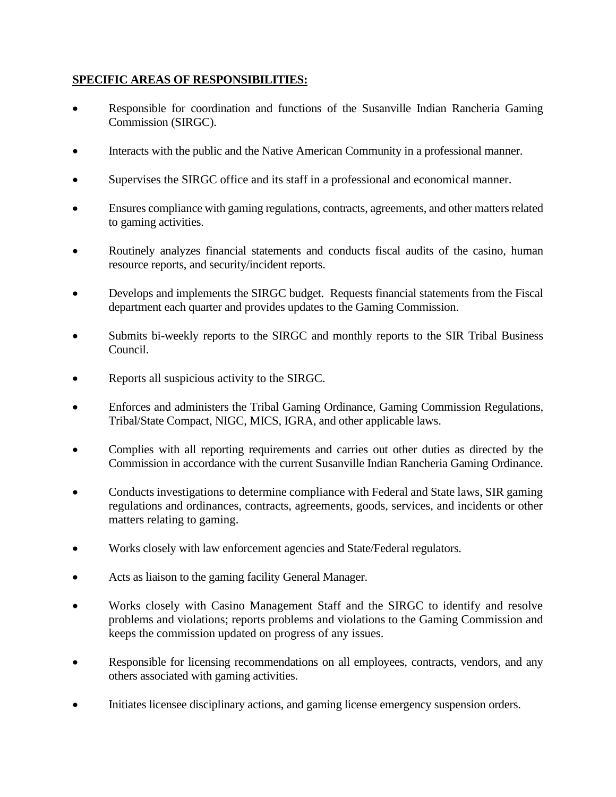#### **SPECIFIC AREAS OF RESPONSIBILITIES:**

- Responsible for coordination and functions of the Susanville Indian Rancheria Gaming Commission (SIRGC).
- Interacts with the public and the Native American Community in a professional manner.
- Supervises the SIRGC office and its staff in a professional and economical manner.
- Ensures compliance with gaming regulations, contracts, agreements, and other matters related to gaming activities.
- Routinely analyzes financial statements and conducts fiscal audits of the casino, human resource reports, and security/incident reports.
- Develops and implements the SIRGC budget. Requests financial statements from the Fiscal department each quarter and provides updates to the Gaming Commission.
- Submits bi-weekly reports to the SIRGC and monthly reports to the SIR Tribal Business Council.
- Reports all suspicious activity to the SIRGC.
- Enforces and administers the Tribal Gaming Ordinance, Gaming Commission Regulations, Tribal/State Compact, NIGC, MICS, IGRA, and other applicable laws.
- Complies with all reporting requirements and carries out other duties as directed by the Commission in accordance with the current Susanville Indian Rancheria Gaming Ordinance.
- Conducts investigations to determine compliance with Federal and State laws, SIR gaming regulations and ordinances, contracts, agreements, goods, services, and incidents or other matters relating to gaming.
- Works closely with law enforcement agencies and State/Federal regulators.
- Acts as liaison to the gaming facility General Manager.
- Works closely with Casino Management Staff and the SIRGC to identify and resolve problems and violations; reports problems and violations to the Gaming Commission and keeps the commission updated on progress of any issues.
- Responsible for licensing recommendations on all employees, contracts, vendors, and any others associated with gaming activities.
- Initiates licensee disciplinary actions, and gaming license emergency suspension orders.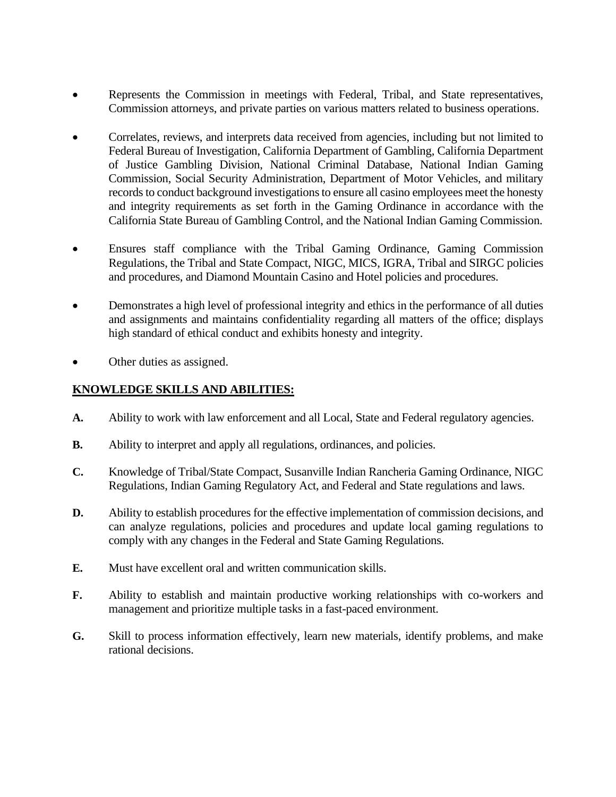- Represents the Commission in meetings with Federal, Tribal, and State representatives, Commission attorneys, and private parties on various matters related to business operations.
- Correlates, reviews, and interprets data received from agencies, including but not limited to Federal Bureau of Investigation, California Department of Gambling, California Department of Justice Gambling Division, National Criminal Database, National Indian Gaming Commission, Social Security Administration, Department of Motor Vehicles, and military records to conduct background investigations to ensure all casino employees meet the honesty and integrity requirements as set forth in the Gaming Ordinance in accordance with the California State Bureau of Gambling Control, and the National Indian Gaming Commission.
- Ensures staff compliance with the Tribal Gaming Ordinance, Gaming Commission Regulations, the Tribal and State Compact, NIGC, MICS, IGRA, Tribal and SIRGC policies and procedures, and Diamond Mountain Casino and Hotel policies and procedures.
- Demonstrates a high level of professional integrity and ethics in the performance of all duties and assignments and maintains confidentiality regarding all matters of the office; displays high standard of ethical conduct and exhibits honesty and integrity.
- Other duties as assigned.

### **KNOWLEDGE SKILLS AND ABILITIES:**

- **A.** Ability to work with law enforcement and all Local, State and Federal regulatory agencies.
- **B.** Ability to interpret and apply all regulations, ordinances, and policies.
- **C.** Knowledge of Tribal/State Compact, Susanville Indian Rancheria Gaming Ordinance, NIGC Regulations, Indian Gaming Regulatory Act, and Federal and State regulations and laws.
- **D.** Ability to establish procedures for the effective implementation of commission decisions, and can analyze regulations, policies and procedures and update local gaming regulations to comply with any changes in the Federal and State Gaming Regulations.
- **E.** Must have excellent oral and written communication skills.
- **F.** Ability to establish and maintain productive working relationships with co-workers and management and prioritize multiple tasks in a fast-paced environment.
- **G.** Skill to process information effectively, learn new materials, identify problems, and make rational decisions.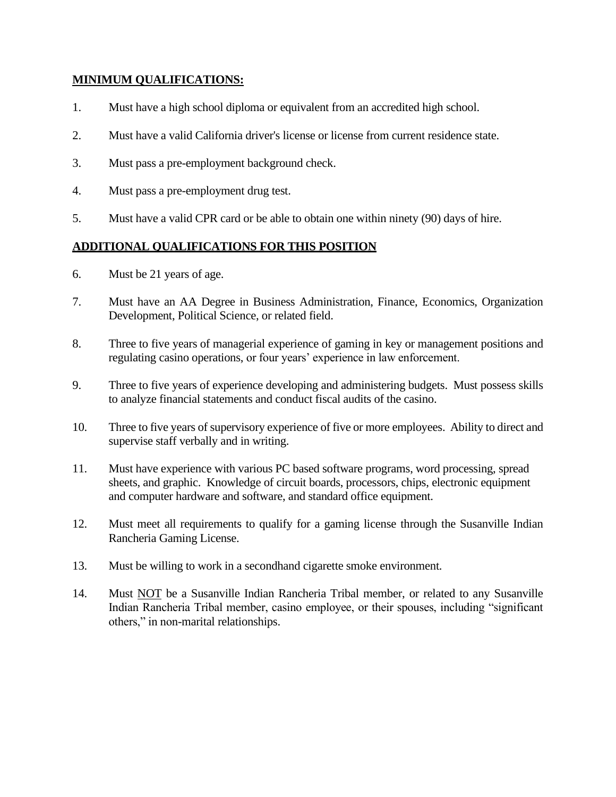#### **MINIMUM QUALIFICATIONS:**

- 1. Must have a high school diploma or equivalent from an accredited high school.
- 2. Must have a valid California driver's license or license from current residence state.
- 3. Must pass a pre-employment background check.
- 4. Must pass a pre-employment drug test.
- 5. Must have a valid CPR card or be able to obtain one within ninety (90) days of hire.

# **ADDITIONAL QUALIFICATIONS FOR THIS POSITION**

- 6. Must be 21 years of age.
- 7. Must have an AA Degree in Business Administration, Finance, Economics, Organization Development, Political Science, or related field.
- 8. Three to five years of managerial experience of gaming in key or management positions and regulating casino operations, or four years' experience in law enforcement.
- 9. Three to five years of experience developing and administering budgets. Must possess skills to analyze financial statements and conduct fiscal audits of the casino.
- 10. Three to five years of supervisory experience of five or more employees. Ability to direct and supervise staff verbally and in writing.
- 11. Must have experience with various PC based software programs, word processing, spread sheets, and graphic. Knowledge of circuit boards, processors, chips, electronic equipment and computer hardware and software, and standard office equipment.
- 12. Must meet all requirements to qualify for a gaming license through the Susanville Indian Rancheria Gaming License.
- 13. Must be willing to work in a secondhand cigarette smoke environment.
- 14. Must NOT be a Susanville Indian Rancheria Tribal member, or related to any Susanville Indian Rancheria Tribal member, casino employee, or their spouses, including "significant others," in non-marital relationships.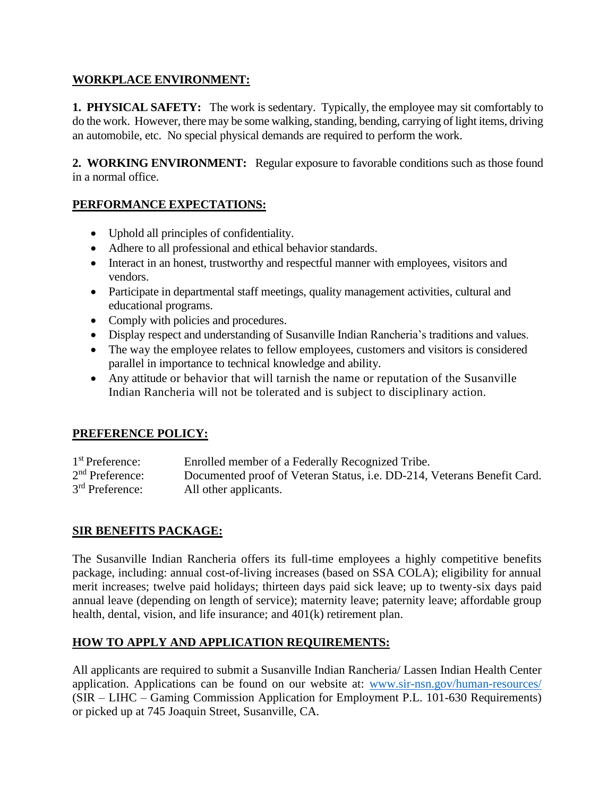### **WORKPLACE ENVIRONMENT:**

**1. PHYSICAL SAFETY:** The work is sedentary. Typically, the employee may sit comfortably to do the work. However, there may be some walking, standing, bending, carrying of light items, driving an automobile, etc. No special physical demands are required to perform the work.

**2. WORKING ENVIRONMENT:** Regular exposure to favorable conditions such as those found in a normal office.

# **PERFORMANCE EXPECTATIONS:**

- Uphold all principles of confidentiality.
- Adhere to all professional and ethical behavior standards.
- Interact in an honest, trustworthy and respectful manner with employees, visitors and vendors.
- Participate in departmental staff meetings, quality management activities, cultural and educational programs.
- Comply with policies and procedures.
- Display respect and understanding of Susanville Indian Rancheria's traditions and values.
- The way the employee relates to fellow employees, customers and visitors is considered parallel in importance to technical knowledge and ability.
- Any attitude or behavior that will tarnish the name or reputation of the Susanville Indian Rancheria will not be tolerated and is subject to disciplinary action.

# **PREFERENCE POLICY:**

1<sup>st</sup> Preference: Enrolled member of a Federally Recognized Tribe.  $2<sup>nd</sup>$  Preference: Documented proof of Veteran Status, i.e. DD-214, Veterans Benefit Card. 3<sup>rd</sup> Preference: All other applicants.

# **SIR BENEFITS PACKAGE:**

The Susanville Indian Rancheria offers its full-time employees a highly competitive benefits package, including: annual cost-of-living increases (based on SSA COLA); eligibility for annual merit increases; twelve paid holidays; thirteen days paid sick leave; up to twenty-six days paid annual leave (depending on length of service); maternity leave; paternity leave; affordable group health, dental, vision, and life insurance; and 401(k) retirement plan.

# **HOW TO APPLY AND APPLICATION REQUIREMENTS:**

All applicants are required to submit a Susanville Indian Rancheria/ Lassen Indian Health Center application. Applications can be found on our website at: [www.sir-nsn.gov/human-resources/](http://www.sir-nsn.gov/human-resources/) (SIR – LIHC – Gaming Commission Application for Employment P.L. 101-630 Requirements) or picked up at 745 Joaquin Street, Susanville, CA.